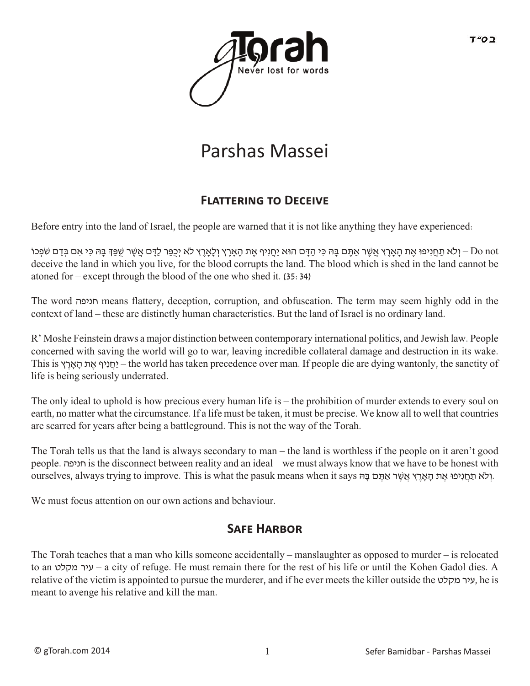

## Parshas Massei

## **FLATTERING TO DECEIVE**

Before entry into the land of Israel, the people are warned that it is not like anything they have experienced:

ן כֹּא תַּחֲנִיפוּ אֶת הָאָרֶץ אֲשֶׁר אַתֶּם בָּהּ כִּי הַדָּם הוּא יַחֲנִיף אֶת הָאָרֶץ וְלָאָרֶץ לֹא יְכִפַּר לַדָּם אֲשֶׁר שִׁפַּךְ בָּהּ כִּי אִם בְּדַם שֹׂפְכוֹ Do not deceive the land in which you live, for the blood corrupts the land. The blood which is shed in the land cannot be atoned for – except through the blood of the one who shed it. (35:34)

The word חניפה means flattery, deception, corruption, and obfuscation. The term may seem highly odd in the context of land – these are distinctly human characteristics. But the land of Israel is no ordinary land.

R' Moshe Feinstein draws a major distinction between contemporary international politics, and Jewish law. People concerned with saving the world will go to war, leaving incredible collateral damage and destruction in its wake. This is ץ ֶאָר ָה ת ֶא יףִנ ֲחַי – the world has taken precedence over man. If people die are dying wantonly, the sanctity of life is being seriously underrated.

The only ideal to uphold is how precious every human life is – the prohibition of murder extends to every soul on earth, no matter what the circumstance. If a life must be taken, it must be precise. We know all to well that countries are scarred for years after being a battleground. This is not the way of the Torah.

The Torah tells us that the land is always secondary to man – the land is worthless if the people on it aren't good people. חניפה is the disconnect between reality and an ideal – we must always know that we have to be honest with .וְלֹא תַחֲנִיפוּ אֶת הָאָרֵץ אֵשֶׁר אַתֵּם בָּהּ swhat the pasuk means when it says .וְלֹא תַחֲנִיפוּ אֶת הָאָרֵץ אֵשֶׁר אַ

We must focus attention on our own actions and behaviour.

## **SAFE HARBOR**

The Torah teaches that a man who kills someone accidentally – manslaughter as opposed to murder – is relocated to an מקלט עיר – a city of refuge. He must remain there for the rest of his life or until the Kohen Gadol dies. A relative of the victim is appointed to pursue the murderer, and if he ever meets the killer outside the מקלט עיר, he is meant to avenge his relative and kill the man.